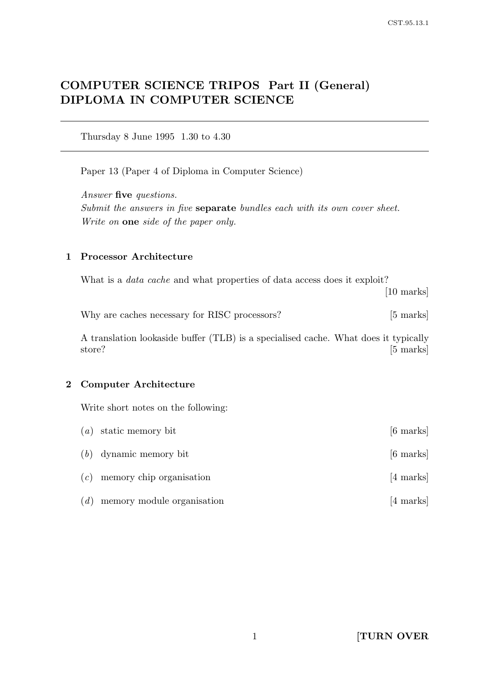# COMPUTER SCIENCE TRIPOS Part II (General) DIPLOMA IN COMPUTER SCIENCE

Thursday 8 June 1995 1.30 to 4.30

Paper 13 (Paper 4 of Diploma in Computer Science)

Answer five questions. Submit the answers in five **separate** bundles each with its own cover sheet. Write on one side of the paper only.

## 1 Processor Architecture

What is a *data cache* and what properties of data access does it exploit? [10 marks]

Why are caches necessary for RISC processors? [5 marks]

A translation lookaside buffer (TLB) is a specialised cache. What does it typically store? [5 marks]

#### 2 Computer Architecture

Write short notes on the following:

|     | $(a)$ static memory bit        | $[6 \text{ marks}]$ |
|-----|--------------------------------|---------------------|
|     | $(b)$ dynamic memory bit       | $[6 \text{ marks}]$ |
|     | $(c)$ memory chip organisation | [4 marks]           |
| (d) | memory module organisation     | $[4 \text{ marks}]$ |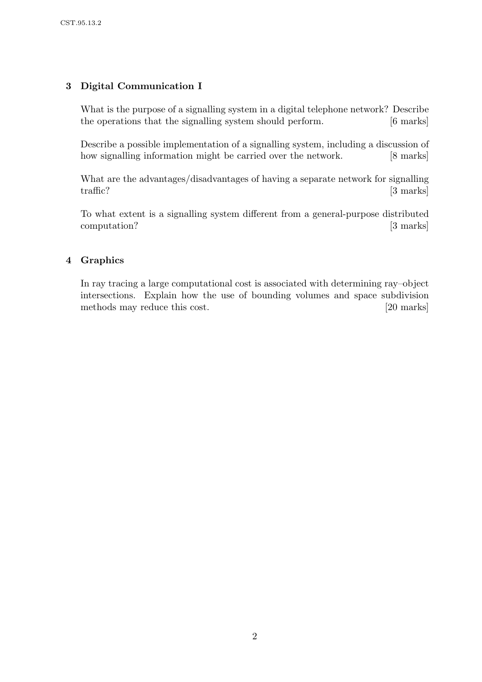# 3 Digital Communication I

What is the purpose of a signalling system in a digital telephone network? Describe the operations that the signalling system should perform. [6 marks]

Describe a possible implementation of a signalling system, including a discussion of how signalling information might be carried over the network. [8 marks]

What are the advantages/disadvantages of having a separate network for signalling traffic? [3 marks]

To what extent is a signalling system different from a general-purpose distributed computation? [3 marks]

## 4 Graphics

In ray tracing a large computational cost is associated with determining ray–object intersections. Explain how the use of bounding volumes and space subdivision methods may reduce this cost. [20 marks]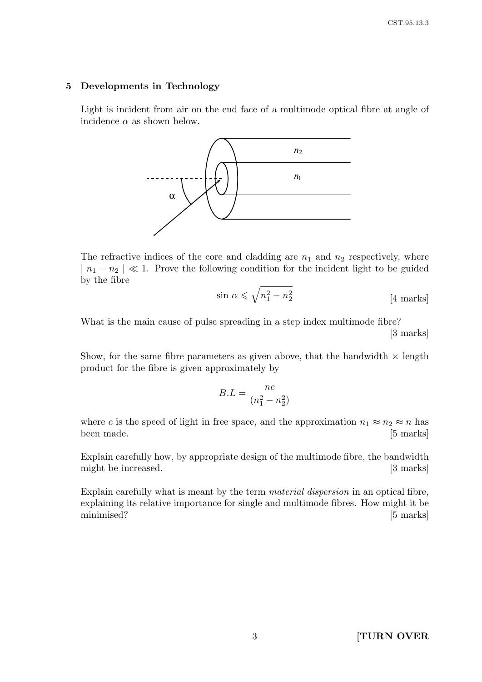#### 5 Developments in Technology

Light is incident from air on the end face of a multimode optical fibre at angle of incidence  $\alpha$  as shown below.



The refractive indices of the core and cladding are  $n_1$  and  $n_2$  respectively, where  $|n_1 - n_2| \ll 1$ . Prove the following condition for the incident light to be guided by the fibre

$$
\sin \alpha \leqslant \sqrt{n_1^2 - n_2^2} \tag{4 marks}
$$

What is the main cause of pulse spreading in a step index multimode fibre? [3 marks]

Show, for the same fibre parameters as given above, that the bandwidth  $\times$  length product for the fibre is given approximately by

$$
B.L = \frac{nc}{(n_1^2 - n_2^2)}
$$

where c is the speed of light in free space, and the approximation  $n_1 \approx n_2 \approx n$  has been made. [5 marks]

Explain carefully how, by appropriate design of the multimode fibre, the bandwidth might be increased. [3 marks]

Explain carefully what is meant by the term material dispersion in an optical fibre, explaining its relative importance for single and multimode fibres. How might it be minimised? [5 marks]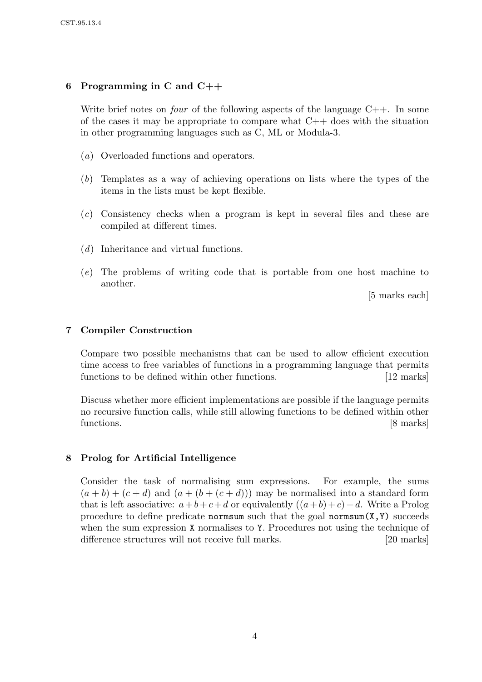# 6 Programming in C and  $C_{++}$

Write brief notes on *four* of the following aspects of the language  $C_{++}$ . In some of the cases it may be appropriate to compare what  $C++$  does with the situation in other programming languages such as C, ML or Modula-3.

- (a) Overloaded functions and operators.
- (b) Templates as a way of achieving operations on lists where the types of the items in the lists must be kept flexible.
- (c) Consistency checks when a program is kept in several files and these are compiled at different times.
- (d) Inheritance and virtual functions.
- (e) The problems of writing code that is portable from one host machine to another.

[5 marks each]

## 7 Compiler Construction

Compare two possible mechanisms that can be used to allow efficient execution time access to free variables of functions in a programming language that permits functions to be defined within other functions. [12 marks]

Discuss whether more efficient implementations are possible if the language permits no recursive function calls, while still allowing functions to be defined within other functions. [8 marks]

## 8 Prolog for Artificial Intelligence

Consider the task of normalising sum expressions. For example, the sums  $(a + b) + (c + d)$  and  $(a + (b + (c + d)))$  may be normalised into a standard form that is left associative:  $a+b+c+d$  or equivalently  $((a+b)+c)+d$ . Write a Prolog procedure to define predicate normsum such that the goal normsum(X,Y) succeeds when the sum expression X normalises to Y. Procedures not using the technique of difference structures will not receive full marks. [20 marks]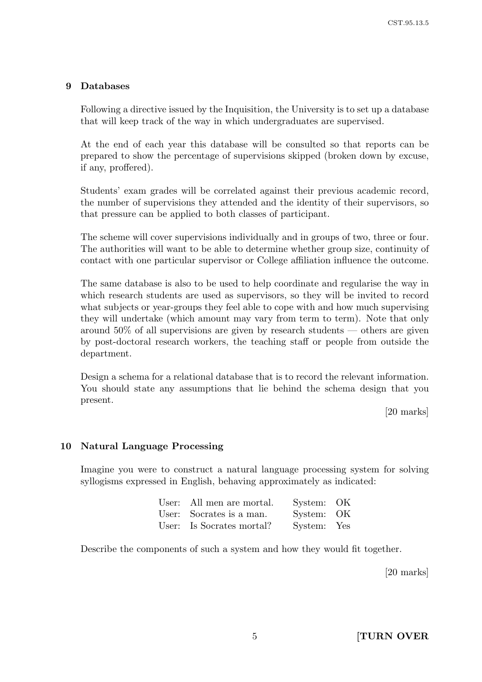## 9 Databases

Following a directive issued by the Inquisition, the University is to set up a database that will keep track of the way in which undergraduates are supervised.

At the end of each year this database will be consulted so that reports can be prepared to show the percentage of supervisions skipped (broken down by excuse, if any, proffered).

Students' exam grades will be correlated against their previous academic record, the number of supervisions they attended and the identity of their supervisors, so that pressure can be applied to both classes of participant.

The scheme will cover supervisions individually and in groups of two, three or four. The authorities will want to be able to determine whether group size, continuity of contact with one particular supervisor or College affiliation influence the outcome.

The same database is also to be used to help coordinate and regularise the way in which research students are used as supervisors, so they will be invited to record what subjects or year-groups they feel able to cope with and how much supervising they will undertake (which amount may vary from term to term). Note that only around 50% of all supervisions are given by research students — others are given by post-doctoral research workers, the teaching staff or people from outside the department.

Design a schema for a relational database that is to record the relevant information. You should state any assumptions that lie behind the schema design that you present.

[20 marks]

### 10 Natural Language Processing

Imagine you were to construct a natural language processing system for solving syllogisms expressed in English, behaving approximately as indicated:

| User: All men are mortal. | System: OK  |  |
|---------------------------|-------------|--|
| User: Socrates is a man.  | System: OK  |  |
| User: Is Socrates mortal? | System: Yes |  |

Describe the components of such a system and how they would fit together.

[20 marks]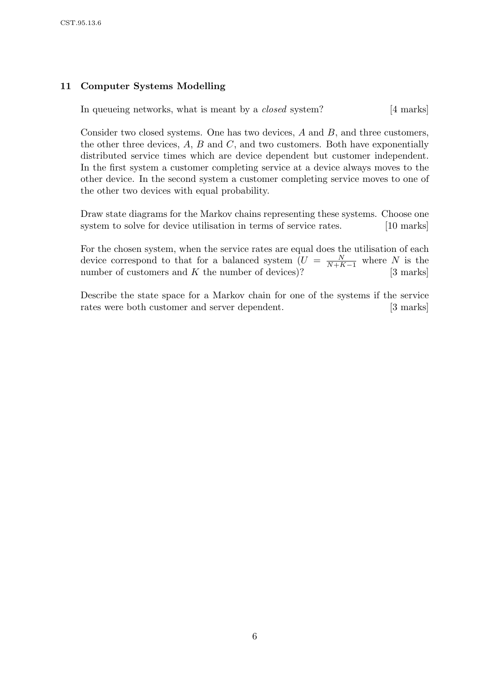# 11 Computer Systems Modelling

In queueing networks, what is meant by a *closed* system? [4 marks]

Consider two closed systems. One has two devices,  $A$  and  $B$ , and three customers, the other three devices,  $A$ ,  $B$  and  $C$ , and two customers. Both have exponentially distributed service times which are device dependent but customer independent. In the first system a customer completing service at a device always moves to the other device. In the second system a customer completing service moves to one of the other two devices with equal probability.

Draw state diagrams for the Markov chains representing these systems. Choose one system to solve for device utilisation in terms of service rates. [10 marks]

For the chosen system, when the service rates are equal does the utilisation of each device correspond to that for a balanced system  $(U = \frac{N}{N+k}$  $\frac{N}{N+K-1}$  where N is the number of customers and  $K$  the number of devices)? [3 marks]

Describe the state space for a Markov chain for one of the systems if the service rates were both customer and server dependent. [3 marks]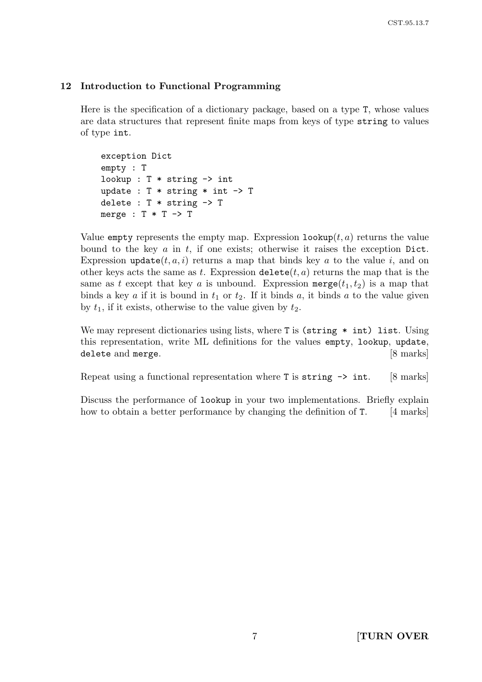## 12 Introduction to Functional Programming

Here is the specification of a dictionary package, based on a type T, whose values are data structures that represent finite maps from keys of type string to values of type int.

exception Dict empty : T lookup :  $T * string \rightarrow int$ update :  $T *$  string  $*$  int  $\rightarrow$  T delete : T \* string -> T merge :  $T * T \rightarrow T$ 

Value empty represents the empty map. Expression  $\text{lookup}(t, a)$  returns the value bound to the key  $a$  in  $t$ , if one exists; otherwise it raises the exception Dict. Expression update $(t, a, i)$  returns a map that binds key a to the value i, and on other keys acts the same as t. Expression delete(t, a) returns the map that is the same as t except that key a is unbound. Expression merge $(t_1, t_2)$  is a map that binds a key a if it is bound in  $t_1$  or  $t_2$ . If it binds a, it binds a to the value given by  $t_1$ , if it exists, otherwise to the value given by  $t_2$ .

We may represent dictionaries using lists, where  $T$  is (string  $*$  int) list. Using this representation, write ML definitions for the values empty, lookup, update, delete and merge. [8 marks]

Repeat using a functional representation where  $\bar{\text{r}}$  is string  $\rightarrow$  int. [8 marks]

Discuss the performance of lookup in your two implementations. Briefly explain how to obtain a better performance by changing the definition of T. [4 marks]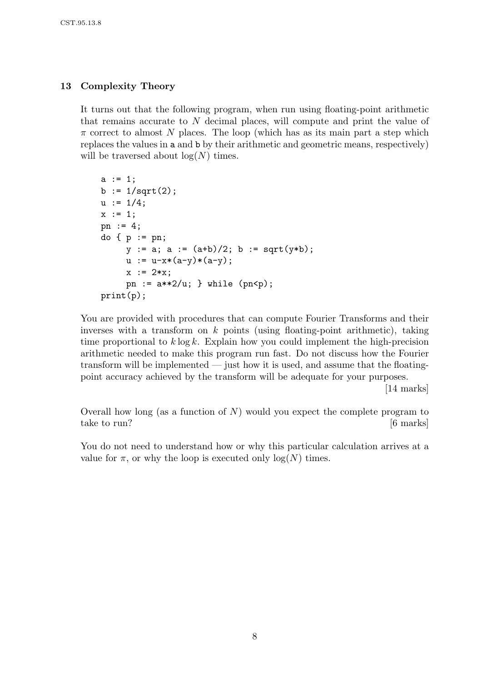## 13 Complexity Theory

It turns out that the following program, when run using floating-point arithmetic that remains accurate to N decimal places, will compute and print the value of  $\pi$  correct to almost N places. The loop (which has as its main part a step which replaces the values in a and b by their arithmetic and geometric means, respectively) will be traversed about  $log(N)$  times.

```
a := 1;b := 1/sqrt(2);u := 1/4;x := 1;pn := 4;
do \{ p := pn \}y := a; a := (a+b)/2; b := sqrt(y*b);
     u := u-x*(a-y)*(a-y);x := 2*x:
     pn := a**2/u; } while (pn < p);print(p);
```
You are provided with procedures that can compute Fourier Transforms and their inverses with a transform on  $k$  points (using floating-point arithmetic), taking time proportional to  $k \log k$ . Explain how you could implement the high-precision arithmetic needed to make this program run fast. Do not discuss how the Fourier transform will be implemented — just how it is used, and assume that the floatingpoint accuracy achieved by the transform will be adequate for your purposes.

[14 marks]

Overall how long (as a function of  $N$ ) would you expect the complete program to take to run? [6 marks]

You do not need to understand how or why this particular calculation arrives at a value for  $\pi$ , or why the loop is executed only  $\log(N)$  times.